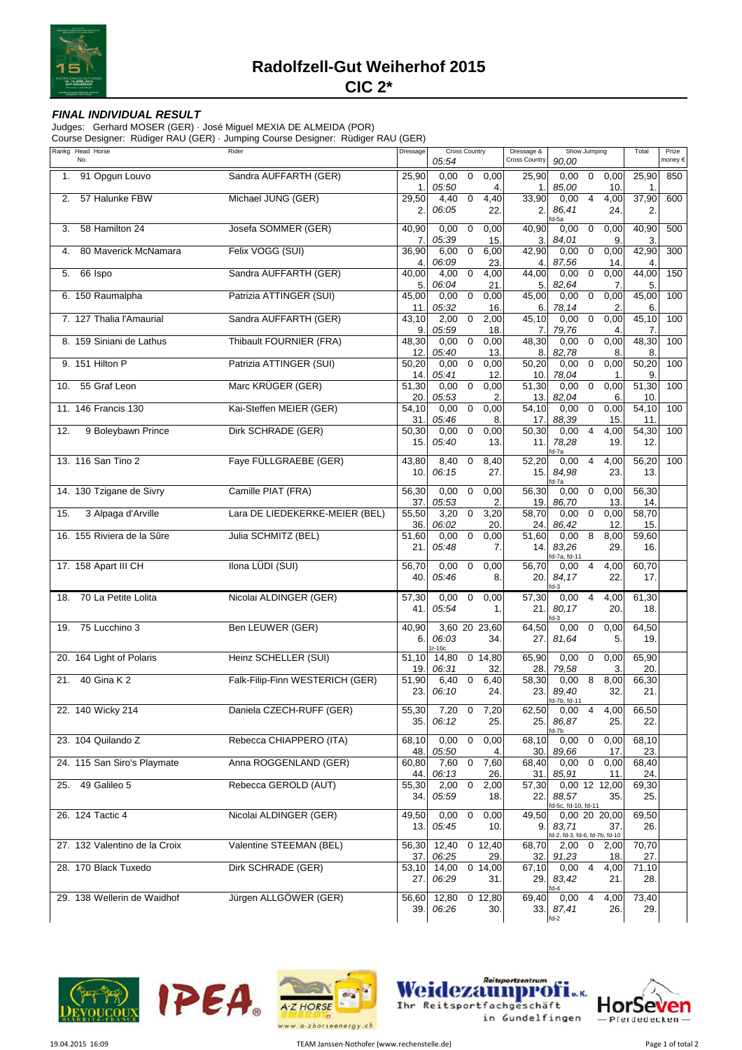

## **FINAL INDIVIDUAL RESULT**

Judges: Gerhard MOSER (GER) · José Miguel MEXIA DE ALMEIDA (POR)

| Rankg Head Horse<br>No.       | Rider                           | Dressage          | <b>Cross Country</b><br>05:54      |             |                    | Dressage &<br><b>Cross Country</b> | 90.00                                          | Show Jumping            | Total                | Prize<br>money €  |     |
|-------------------------------|---------------------------------|-------------------|------------------------------------|-------------|--------------------|------------------------------------|------------------------------------------------|-------------------------|----------------------|-------------------|-----|
| 91 Opgun Louvo<br>1.          | Sandra AUFFARTH (GER)           | 25,90             | 0,00                               | 0           | 0,00               | 25,90                              | 0,00                                           | 0                       | 0,00                 | 25,90             | 850 |
| 57 Halunke FBW<br>2.          | Michael JUNG (GER)              | 1.<br>29,50<br>2. | 05:50<br>4,40<br>06:05             | $\mathbf 0$ | 4.<br>4,40<br>22.  | 1.<br>33,90<br>2.                  | 85,00<br>0,00<br>86,41                         | $\overline{4}$          | 10.<br>4,00<br>24.   | 1.<br>37,90<br>2. | 600 |
| 58 Hamilton 24<br>3.          | Josefa SOMMER (GER)             | 40,90             | 0,00                               | $\mathbf 0$ | 0,00               | 40,90                              | fd-5a<br>0.00                                  | $\overline{0}$          | 0,00                 | 40,90             | 500 |
| 80 Maverick McNamara<br>4.    | Felix VOGG (SUI)                | 7.<br>36,90       | 05:39<br>6,00                      | $\mathbf 0$ | 15.<br>6,00        | 3.<br>42,90                        | 84,01<br>0,00                                  | $\boldsymbol{0}$        | 9<br>0,00            | 3.<br>42,90       | 300 |
| 66 Ispo<br>5.                 | Sandra AUFFARTH (GER)           | 4.<br>40,00<br>5. | 06:09<br>4,00<br>06:04             | $\mathbf 0$ | 23.<br>4,00<br>21. | 4.<br>44,00<br>5.                  | 87,56<br>0.00<br>82,64                         | $\boldsymbol{0}$        | 14<br>0,00<br>7      | 4.<br>44,00<br>5. | 150 |
| 6. 150 Raumalpha              | Patrizia ATTINGER (SUI)         | 45,00<br>11.      | 0,00<br>05:32                      | $\mathbf 0$ | 0,00<br>16         | 45,00<br>6.                        | 0,00<br>78,14                                  | $\overline{0}$          | 0,00<br>2            | 45,00<br>6.       | 100 |
| 7. 127 Thalia l'Amaurial      | Sandra AUFFARTH (GER)           | 43,10<br>9.       | 2,00<br>05:59                      | 0           | 2,00<br>18.        | 45,10<br>7.                        | 0,00<br>79,76                                  | $\mathbf 0$             | 0,00<br>4            | 45,10<br>7.       | 100 |
| 8. 159 Siniani de Lathus      | Thibault FOURNIER (FRA)         | 48,30<br>12.      | 0,00<br>05:40                      | $\mathbf 0$ | 0,00<br>13.        | 48,30<br>8.                        | 0,00<br>82,78                                  | $\overline{0}$          | 0,00<br>8            | 48,30<br>8.       | 100 |
| 9. 151 Hilton P               | Patrizia ATTINGER (SUI)         | 50,20<br>14.      | 0,00<br>05:41                      | $\mathbf 0$ | 0,00<br>12.        | 50,20<br>10.                       | 0,00<br>78,04                                  | $\boldsymbol{0}$        | 0,00<br>1            | 50,20<br>9.       | 100 |
| 55 Graf Leon<br>10.           | Marc KRÜGER (GER)               | 51,30<br>20.      | 0,00<br>05:53                      | $\mathbf 0$ | 0,00<br>2.         | 51,30<br>13.                       | 0,00<br>82,04                                  | $\mathbf 0$             | 0,00<br>6            | 51,30<br>10.      | 100 |
| 11. 146 Francis 130           | Kai-Steffen MEIER (GER)         | 54,10<br>31.      | 0,00<br>05:46                      | 0           | 0,00<br>8.         | 54,10<br>17.                       | 0,00<br>88,39                                  | $\boldsymbol{0}$        | 0,00<br>15.          | 54,10<br>11.      | 100 |
| 12.<br>9 Boleybawn Prince     | Dirk SCHRADE (GER)              | 50,30<br>15.      | 0,00<br>05:40                      | $\mathbf 0$ | 0,00<br>13.        | 50,30<br>11.                       | 0,00<br>78,28                                  | $\overline{4}$          | 4,00<br>19.          | 54,30<br>12.      | 100 |
| 13. 116 San Tino 2            | Faye FÜLLGRAEBE (GER)           | 43,80<br>10.      | 8,40<br>06:15                      | $\mathbf 0$ | 8,40<br>27.        | 52,20<br>15.                       | d-7a<br>0,00<br>84,98                          | $\overline{4}$          | 4,00<br>23.          | 56,20<br>13.      | 100 |
| 14. 130 Tzigane de Sivry      | Camille PIAT (FRA)              | 56,30<br>37.      | 0,00<br>05:53                      | $\mathbf 0$ | 0,00<br>2          | 56,30<br>19.                       | $d-7a$<br>0,00<br>86,70                        | $\mathbf 0$             | 0,00<br>13.          | 56,30<br>14.      |     |
| 15.<br>3 Alpaga d'Arville     | Lara DE LIEDEKERKE-MEIER (BEL)  | 55,50<br>36.      | 3,20<br>06:02                      | $\mathbf 0$ | 3,20<br>20.        | 58,70<br>24.                       | 0,00<br>86,42                                  | $\boldsymbol{0}$        | 0,00<br>12           | 58,70<br>15.      |     |
| 16. 155 Riviera de la Sûre    | Julia SCHMITZ (BEL)             | 51,60<br>21.      | 0,00<br>05:48                      | $\mathbf 0$ | 0,00<br>7.         | 51,60<br>14.                       | 0,00<br>83,26<br>d-7a, fd-11                   | $\overline{\mathbf{8}}$ | 8,00<br>29.          | 59,60<br>16.      |     |
| 17. 158 Apart III CH          | Ilona LÜDI (SUI)                | 56,70<br>40.      | 0,00<br>05:46                      | $\mathbf 0$ | 0,00<br>8.         | 56,70<br>20.                       | 0,00<br>84,17<br>$d-3$                         | $\overline{4}$          | 4,00<br>22.          | 60,70<br>17.      |     |
| 70 La Petite Lolita<br>18.    | Nicolai ALDINGER (GER)          | 57,30<br>41.      | 0,00<br>05:54                      | $\mathbf 0$ | 0,00<br>1.         | 57,30<br>21.                       | 0,00<br>80,17<br>fd-3                          | $\overline{4}$          | 4,00<br>20.          | 61,30<br>18.      |     |
| 75 Lucchino 3<br>19.          | Ben LEUWER (GER)                | 40,90<br>6.       | 3,60 20 23,60<br>06:03<br>$Ir-16c$ |             | 34.                | 64,50<br>27.                       | 0,00<br>81,64                                  | $\mathbf 0$             | 0,00<br>5.           | 64,50<br>19.      |     |
| 20. 164 Light of Polaris      | Heinz SCHELLER (SUI)            | 51,10<br>19.      | 14,80<br>06:31                     |             | 0, 14, 80<br>32    | 65,90<br>28.                       | 0,00<br>79,58                                  | 0                       | 0,00<br>3.           | 65,90<br>20.      |     |
| 21. 40 Gina K 2               | Falk-Filip-Finn WESTERICH (GER) | 51,90<br>23.      | 6,40<br>06:10                      | $\mathbf 0$ | 6,40<br>24.        | 58,30<br>23.                       | 0,00<br>89,40<br>fd-7b, fd-11                  | 8                       | 8,00<br>32.          | 66,30<br>21.      |     |
| 22. 140 Wicky 214             | Daniela CZECH-RUFF (GER)        | 55,30<br>35.      | $7,20$ 0<br>06:12                  |             | 7,20<br>25.        | 62,50<br>25.                       | 0,00<br>86,87                                  | 4                       | 4,00<br>25.          | 66,50<br>22.      |     |
| 23. 104 Quilando Z            | Rebecca CHIAPPERO (ITA)         | 68,10<br>48.      | 0,00<br>05:50                      | $\mathbf 0$ | 0,00<br>4.         | 68,10<br>30.                       | fd-7b<br>0,00<br>89,66                         | $\boldsymbol{0}$        | 0,00<br>17.          | 68,10<br>23.      |     |
| 24. 115 San Siro's Playmate   | Anna ROGGENLAND (GER)           | 60,80<br>44.      | 7,60<br>06:13                      | $\mathbf 0$ | 7,60<br>26.        | 68,40<br>31.                       | 0,00<br>85,91                                  | $\mathbf 0$             | 0,00<br>11.          | 68,40<br>24.      |     |
| 49 Galileo 5<br>25.           | Rebecca GEROLD (AUT)            | 55,30<br>34.      | 2,00<br>05:59                      | $\mathbf 0$ | 2,00<br>18.        | 57,30<br>22.                       | 88,57                                          |                         | 0,00 12 12,00<br>35. | 69,30<br>25.      |     |
| 26. 124 Tactic 4              | Nicolai ALDINGER (GER)          | 49,50<br>13.      | 0,00<br>05:45                      | $\mathbf 0$ | 0,00<br>10.        | 49,50<br>9.                        | d-5c, fd-10, fd-11<br>83,71                    |                         | 0,00 20 20,00<br>37. | 69,50<br>26.      |     |
| 27. 132 Valentino de la Croix | Valentine STEEMAN (BEL)         | 56,30<br>37.      | 12,40<br>06:25                     |             | $0$ 12,40<br>29.   | 68,70<br>32.                       | d-2, fd-3, fd-6, fd-7b, fd-10<br>2,00<br>91,23 | 0                       | 2,00<br>18.          | 70,70<br>27.      |     |
| 28. 170 Black Tuxedo          | Dirk SCHRADE (GER)              | 53,10<br>27.      | 14,00<br>06:29                     |             | 0, 14, 00<br>31.   | 67,10<br>29.                       | 0,00<br>83,42                                  | $\overline{4}$          | 4,00<br>21.          | 71,10<br>28.      |     |
| 29. 138 Wellerin de Waidhof   | Jürgen ALLGÖWER (GER)           | 56,60<br>39.      | 12,80<br>06:26                     |             | $0$ 12,80<br>30.   | 69,40<br>33.                       | 0,00<br>87,41<br>$fd-2$                        | $\overline{4}$          | 4,00<br>26.          | 73,40<br>29.      |     |